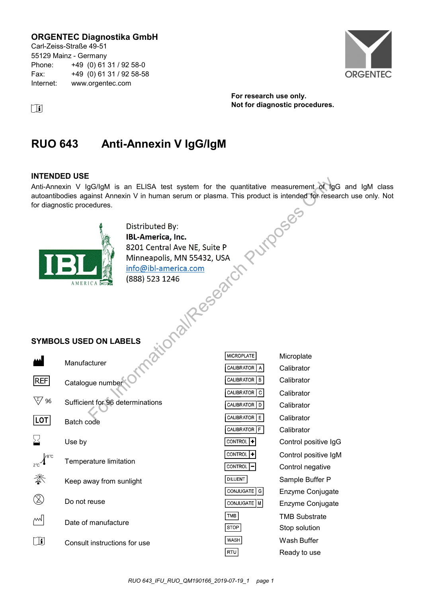### **ORGENTEC Diagnostika GmbH**

Carl-Zeiss-Straße 49-51 55129 Mainz - Germany Phone: +49 (0) 61 31 / 92 58-0 Fax: +49 (0) 61 31 / 92 58-58 Internet: www.orgentec.com



**For research use only. i** Not for diagnostic procedures.

# **RUO 643 Anti-Annexin V IgG/IgM**

### **INTENDED USE**

Anti-Annexin V IgG/IgM is an ELISA test system for the quantitative measurement of IgG and IgM class autoantibodies against Annexin V in human serum or plasma. This product is intended for research use only. Not for diagnostic procedures.



### **SYMBOLS USED ON LABELS**

|            | Manufacturer                     |
|------------|----------------------------------|
| REF        | Catalogue number                 |
| 96         | Sufficient for 96 determinations |
| <b>LOT</b> | Batch code                       |
| ゝく         | Use by                           |
|            | Temperature limitation           |
|            | Keep away from sunlight          |
|            | Do not reuse                     |
|            | Date of manufacture              |
|            | Consult instructions for use     |

| edures.                | gG/lgM is an ELISA test system for the quantitative measurement of IgG<br>ainst Annexin V in human serum or plasma. This product is intended for resear            |                   |                      |
|------------------------|--------------------------------------------------------------------------------------------------------------------------------------------------------------------|-------------------|----------------------|
|                        | Distributed By:<br><b>IBL-America, Inc.</b><br>8201 Central Ave NE, Suite P<br>Minneapolis, MN 55432, USA<br>info@ibl-america.com<br>(888) 523 1246<br>ionalResear |                   | DOSES                |
| <b>D ON LABELS</b>     |                                                                                                                                                                    |                   |                      |
| cturer                 |                                                                                                                                                                    | <b>MICROPLATE</b> | Microplate           |
|                        |                                                                                                                                                                    | CALIBRATOR<br>A   | Calibrator           |
| jue number             |                                                                                                                                                                    | CALIBRATOR   B    | Calibrator           |
|                        | nt for 96 determinations                                                                                                                                           | CALIBRATOR   C    | Calibrator           |
|                        |                                                                                                                                                                    | CALIBRATOR   D    | Calibrator           |
| ode                    |                                                                                                                                                                    | CALIBRATOR   E    | Calibrator           |
|                        |                                                                                                                                                                    | CALIBRATOR   F    | Calibrator           |
|                        |                                                                                                                                                                    | CONTROL<br>٠      | Control positive IgG |
| rature limitation      |                                                                                                                                                                    | CONTROL           | Control positive IgM |
|                        |                                                                                                                                                                    | CONTROL           | Control negative     |
| way from sunlight      |                                                                                                                                                                    | <b>DILUENT</b>    | Sample Buffer P      |
|                        |                                                                                                                                                                    | CONJUGATE   G     | Enzyme Conjugate     |
| reuse                  |                                                                                                                                                                    | CONJUGATE   M     | Enzyme Conjugate     |
| manufacture            |                                                                                                                                                                    | TMB               | <b>TMB Substrate</b> |
|                        |                                                                                                                                                                    | <b>STOP</b>       | Stop solution        |
| i instructions for use |                                                                                                                                                                    | WASH              | Wash Buffer          |
|                        |                                                                                                                                                                    | RTU               | Ready to use         |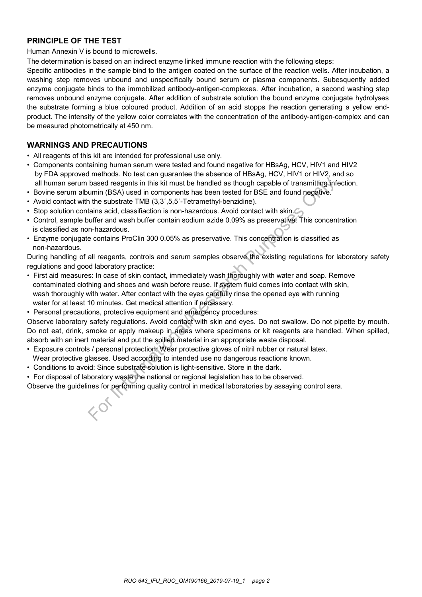### **PRINCIPLE OF THE TEST**

Human Annexin V is bound to microwells.

The determination is based on an indirect enzyme linked immune reaction with the following steps:

Specific antibodies in the sample bind to the antigen coated on the surface of the reaction wells. After incubation, a washing step removes unbound and unspecifically bound serum or plasma components. Subesquently added enzyme conjugate binds to the immobilized antibody-antigen-complexes. After incubation, a second washing step removes unbound enzyme conjugate. After addition of substrate solution the bound enzyme conjugate hydrolyses the substrate forming a blue coloured product. Addition of an acid stopps the reaction generating a yellow endproduct. The intensity of the yellow color correlates with the concentration of the antibody-antigen-complex and can be measured photometrically at 450 nm.

### **WARNINGS AND PRECAUTIONS**

- All reagents of this kit are intended for professional use only.
- Components containing human serum were tested and found negative for HBsAg, HCV, HIV1 and HIV2 by FDA approved methods. No test can guarantee the absence of HBsAg, HCV, HIV1 or HIV2, and so all human serum based reagents in this kit must be handled as though capable of transmitting infection.
- Bovine serum albumin (BSA) used in components has been tested for BSE and found negative.
- Avoid contact with the substrate TMB (3,3',5,5'-Tetramethyl-benzidine).
- Stop solution contains acid, classifiaction is non-hazardous. Avoid contact with skin.
- Control, sample buffer and wash buffer contain sodium azide 0.09% as preservative. This concentration is classified as non-hazardous.
- Enzyme conjugate contains ProClin 300 0.05% as preservative. This concentration is classified as non-hazardous.

During handling of all reagents, controls and serum samples observe the existing regulations for laboratory safety regulations and good laboratory practice:

- First aid measures: In case of skin contact, immediately wash thoroughly with water and soap. Remove contaminated clothing and shoes and wash before reuse. If system fluid comes into contact with skin, wash thoroughly with water. After contact with the eyes carefully rinse the opened eye with running water for at least 10 minutes. Get medical attention if necessary. based reagents in this kit must be handled as though capable of transmitting informin (BSA) used in components has been tested for BSE and found negative. The substrate TMB (3,3',5,5-Tetrancehyl-benzidine). The substrate t
- Personal precautions, protective equipment and emergency procedures:

Observe laboratory safety regulations. Avoid contact with skin and eyes. Do not swallow. Do not pipette by mouth. Do not eat, drink, smoke or apply makeup in areas where specimens or kit reagents are handled. When spilled, absorb with an inert material and put the spilled material in an appropriate waste disposal.

- Exposure controls / personal protection: Wear protective gloves of nitril rubber or natural latex.
- Wear protective glasses. Used according to intended use no dangerous reactions known.
- Conditions to avoid: Since substrate solution is light-sensitive. Store in the dark.
- For disposal of laboratory waste the national or regional legislation has to be observed.

Observe the guidelines for performing quality control in medical laboratories by assaying control sera.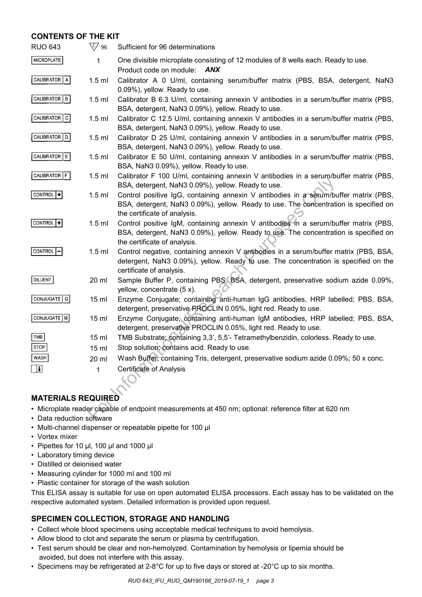### **CONTENTS OF THE KIT**

| <b>RUO 643</b>                                                                                                                    | $\sqrt{\xi/}$ 96 | Sufficient for 96 determinations                                                                                                                                                                             |  |  |
|-----------------------------------------------------------------------------------------------------------------------------------|------------------|--------------------------------------------------------------------------------------------------------------------------------------------------------------------------------------------------------------|--|--|
| MICROPLATE                                                                                                                        | 1                | One divisible microplate consisting of 12 modules of 8 wells each. Ready to use.<br>Product code on module:<br><b>ANX</b>                                                                                    |  |  |
| CALIBRATOR   A                                                                                                                    | $1.5$ ml         | Calibrator A 0 U/ml, containing serum/buffer matrix (PBS, BSA, detergent, NaN3<br>0.09%), yellow. Ready to use.                                                                                              |  |  |
| CALIBRATOR   B                                                                                                                    | $1.5$ ml         | Calibrator B 6.3 U/ml, containing annexin V antibodies in a serum/buffer matrix (PBS,<br>BSA, detergent, NaN3 0.09%), yellow. Ready to use.                                                                  |  |  |
| CALIBRATOR C                                                                                                                      | $1.5$ ml         | Calibrator C 12.5 U/ml, containing annexin V antibodies in a serum/buffer matrix (PBS,<br>BSA, detergent, NaN3 0.09%), yellow. Ready to use.                                                                 |  |  |
| CALIBRATOR D                                                                                                                      | $1.5$ ml         | Calibrator D 25 U/ml, containing annexin V antibodies in a serum/buffer matrix (PBS,<br>BSA, detergent, NaN3 0.09%), yellow. Ready to use.                                                                   |  |  |
| CALIBRATOR E                                                                                                                      | $1.5$ ml         | Calibrator E 50 U/ml, containing annexin V antibodies in a serum/buffer matrix (PBS,<br>BSA, NaN3 0.09%), yellow. Ready to use.                                                                              |  |  |
| CALIBRATOR F                                                                                                                      | $1.5$ ml         | Calibrator F 100 U/ml, containing annexin V antibodies in a serum/buffer matrix (PBS,<br>BSA, detergent, NaN3 0.09%), yellow. Ready to use.                                                                  |  |  |
| CONTROL <sup>+</sup>                                                                                                              | $1.5$ ml         | Control positive IgG, containing annexin V antibodies in a serum/buffer matrix (PBS,<br>BSA, detergent, NaN3 0.09%), yellow. Ready to use. The concentration is specified on<br>the certificate of analysis. |  |  |
| CONTROL <sup>1</sup>                                                                                                              | $1.5$ ml         | Control positive IgM, containing annexin V antibodies in a serum/buffer matrix (PBS,<br>BSA, detergent, NaN3 0.09%), yellow. Ready to use. The concentration is specified on<br>the certificate of analysis. |  |  |
| CONTROL <sup>1</sup> -                                                                                                            | $1.5$ ml         | Control negative, containing annexin V antibodies in a serum/buffer matrix (PBS, BSA,<br>detergent, NaN3 0.09%), yellow. Ready to use. The concentration is specified on the<br>certificate of analysis.     |  |  |
| DILUENT                                                                                                                           | 20 ml            | Sample Buffer P, containing PBS, BSA, detergent, preservative sodium azide 0.09%,<br>yellow, concentrate (5 x).                                                                                              |  |  |
| CONJUGATE   G                                                                                                                     | 15 <sub>ml</sub> | Enzyme Conjugate; containing anti-human IgG antibodies, HRP labelled; PBS, BSA,<br>detergent, preservative PROCLIN 0.05%, light red. Ready to use.                                                           |  |  |
| CONJUGATE   M                                                                                                                     | $15$ ml          | Enzyme Conjugate; containing anti-human IgM antibodies, HRP labelled; PBS, BSA,<br>detergent, preservative PROCLIN 0.05%, light red. Ready to use.                                                           |  |  |
| TMB                                                                                                                               | 15 <sub>ml</sub> | TMB Substrate; containing 3,3', 5,5'- Tetramethylbenzidin, colorless. Ready to use.                                                                                                                          |  |  |
| <b>STOP</b>                                                                                                                       | 15 ml            | Stop solution; contains acid. Ready to use.                                                                                                                                                                  |  |  |
| <b>WASH</b>                                                                                                                       | 20 ml            | Wash Buffer, containing Tris, detergent, preservative sodium azide 0.09%; 50 x conc.                                                                                                                         |  |  |
| <b>i</b>                                                                                                                          | 1                | <b>Certificate of Analysis</b>                                                                                                                                                                               |  |  |
| <b>MATERIALS REQUIRED</b>                                                                                                         |                  |                                                                                                                                                                                                              |  |  |
|                                                                                                                                   |                  |                                                                                                                                                                                                              |  |  |
| · Microplate reader capable of endpoint measurements at 450 nm; optional: reference filter at 620 nm<br>• Data reduction software |                  |                                                                                                                                                                                                              |  |  |
|                                                                                                                                   |                  |                                                                                                                                                                                                              |  |  |

### **MATERIALS REQUIRED**

- Microplate reader capable of endpoint measurements at 450 nm; optional: reference filter at 620 nm
- Data reduction software
- Multi-channel dispenser or repeatable pipette for 100 μl
- Vortex mixer
- Pipettes for 10 μl, 100 μl and 1000 μl
- Laboratory timing device
- Distilled or deionised water
- Measuring cylinder for 1000 ml and 100 ml
- Plastic container for storage of the wash solution

This ELISA assay is suitable for use on open automated ELISA processors. Each assay has to be validated on the respective automated system. Detailed information is provided upon request.

### **SPECIMEN COLLECTION, STORAGE AND HANDLING**

- Collect whole blood specimens using acceptable medical techniques to avoid hemolysis.
- Allow blood to clot and separate the serum or plasma by centrifugation.
- Test serum should be clear and non-hemolyzed. Contamination by hemolysis or lipemia should be avoided, but does not interfere with this assay.
- Specimens may be refrigerated at 2-8°C for up to five days or stored at -20°C up to six months.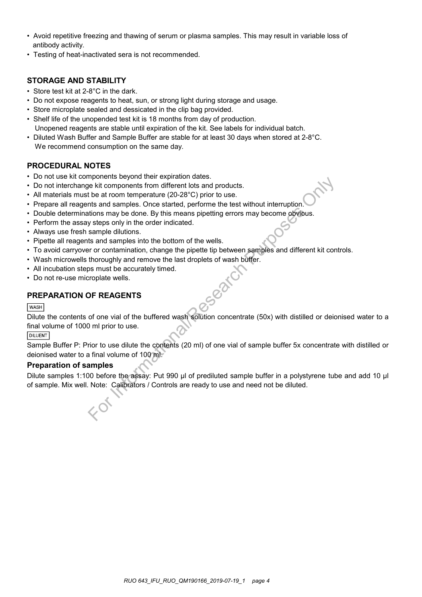- Avoid repetitive freezing and thawing of serum or plasma samples. This may result in variable loss of antibody activity.
- Testing of heat-inactivated sera is not recommended.

### **STORAGE AND STABILITY**

- Store test kit at 2-8°C in the dark.
- Do not expose reagents to heat, sun, or strong light during storage and usage.
- Store microplate sealed and dessicated in the clip bag provided.
- Shelf life of the unopended test kit is 18 months from day of production. Unopened reagents are stable until expiration of the kit. See labels for individual batch.
- Diluted Wash Buffer and Sample Buffer are stable for at least 30 days when stored at 2-8°C. We recommend consumption on the same day.

### **PROCEDURAL NOTES**

- Do not use kit components beyond their expiration dates.
- Do not interchange kit components from different lots and products.
- All materials must be at room temperature (20-28°C) prior to use.
- Prepare all reagents and samples. Once started, performe the test without interruption.
- Double determinations may be done. By this means pipetting errors may become obvious.
- Perform the assay steps only in the order indicated.
- Always use fresh sample dilutions.
- Pipette all reagents and samples into the bottom of the wells.
- To avoid carryover or contamination, change the pipette tip between samples and different kit controls.
- Wash microwells thoroughly and remove the last droplets of wash buffer.
- All incubation steps must be accurately timed.
- Do not re-use microplate wells.

### **PREPARATION OF REAGENTS**

#### **WASH**

Dilute the contents of one vial of the buffered wash solution concentrate (50x) with distilled or deionised water to a final volume of 1000 ml prior to use. injuonents are by the search of the search products.<br>For its and samples. Once started, performe the test without interruption.<br>This and samples. Once started, performe the test without interruption.<br>This may be done. By t

#### **DILUENT**

Sample Buffer P: Prior to use dilute the contents (20 ml) of one vial of sample buffer 5x concentrate with distilled or deionised water to a final volume of 100 ml.

#### **Preparation of samples**

Dilute samples 1:100 before the assay: Put 990 µl of prediluted sample buffer in a polystyrene tube and add 10 µl of sample. Mix well. Note: Calibrators / Controls are ready to use and need not be diluted.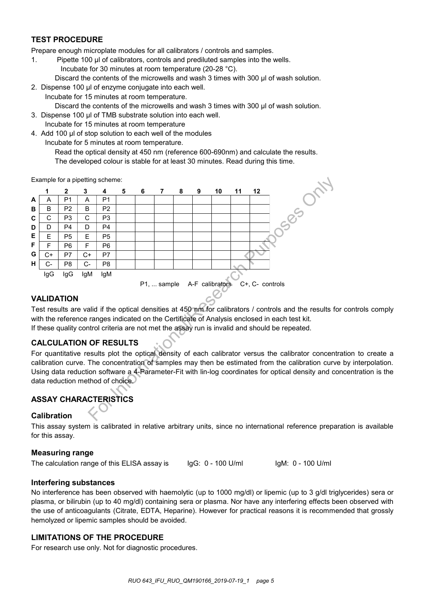### **TEST PROCEDURE**

Prepare enough microplate modules for all calibrators / controls and samples.

- 1. Pipette 100 µl of calibrators, controls and prediluted samples into the wells.
	- Incubate for 30 minutes at room temperature (20-28 °C).
	- Discard the contents of the microwells and wash 3 times with 300 µl of wash solution.
- 2. Dispense 100 μl of enzyme conjugate into each well. Incubate for 15 minutes at room temperature. Discard the contents of the microwells and wash 3 times with 300 μl of wash solution.
- 3. Dispense 100 μl of TMB substrate solution into each well. Incubate for 15 minutes at room temperature
- 4. Add 100 μl of stop solution to each well of the modules
	- Incubate for 5 minutes at room temperature.

Read the optical density at 450 nm (reference 600-690nm) and calculate the results. The developed colour is stable for at least 30 minutes. Read during this time.

Example for a pipetting scheme:



### **VALIDATION**

Test results are valid if the optical densities at 450 nm for calibrators / controls and the results for controls comply with the reference ranges indicated on the Certificate of Analysis enclosed in each test kit. If these quality control criteria are not met the assay run is invalid and should be repeated.

### **CALCULATION OF RESULTS**

For quantitative results plot the optical density of each calibrator versus the calibrator concentration to create a calibration curve. The concentration of samples may then be estimated from the calibration curve by interpolation. Using data reduction software a 4-Parameter-Fit with lin-log coordinates for optical density and concentration is the data reduction method of choice.

## **ASSAY CHARACTERISTICS**

### **Calibration**

This assay system is calibrated in relative arbitrary units, since no international reference preparation is available for this assay.

### **Measuring range**

The calculation range of this ELISA assay is

IgG: 0 - 100 U/ml

IgM: 0 - 100 U/ml

### **Interfering substances**

No interference has been observed with haemolytic (up to 1000 mg/dl) or lipemic (up to 3 g/dl triglycerides) sera or plasma, or bilirubin (up to 40 mg/dl) containing sera or plasma. Nor have any interfering effects been observed with the use of anticoagulants (Citrate, EDTA, Heparine). However for practical reasons it is recommended that grossly hemolyzed or lipemic samples should be avoided.

### **LIMITATIONS OF THE PROCEDURE**

For research use only. Not for diagnostic procedures.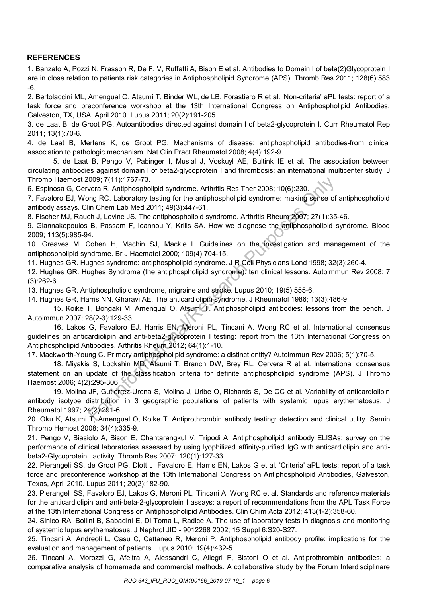### **REFERENCES**

1. Banzato A, Pozzi N, Frasson R, De F, V, Ruffatti A, Bison E et al. Antibodies to Domain I of beta(2)Glycoprotein I are in close relation to patients risk categories in Antiphospholipid Syndrome (APS). Thromb Res 2011; 128(6):583 -6.

2. Bertolaccini ML, Amengual O, Atsumi T, Binder WL, de LB, Forastiero R et al. 'Non-criteria' aPL tests: report of a task force and preconference workshop at the 13th International Congress on Antiphospholipid Antibodies, Galveston, TX, USA, April 2010. Lupus 2011; 20(2):191-205.

3. de Laat B, de Groot PG. Autoantibodies directed against domain I of beta2-glycoprotein I. Curr Rheumatol Rep 2011; 13(1):70-6.

4. de Laat B, Mertens K, de Groot PG. Mechanisms of disease: antiphospholipid antibodies-from clinical association to pathologic mechanism. Nat Clin Pract Rheumatol 2008; 4(4):192-9.

5. de Laat B, Pengo V, Pabinger I, Musial J, Voskuyl AE, Bultink IE et al. The association between circulating antibodies against domain I of beta2-glycoprotein I and thrombosis: an international multicenter study. J Thromb Haemost 2009; 7(11):1767-73.

6. Espinosa G, Cervera R. Antiphospholipid syndrome. Arthritis Res Ther 2008; 10(6):230.

7. Favaloro EJ, Wong RC. Laboratory testing for the antiphospholipid syndrome: making sense of antiphospholipid antibody assays. Clin Chem Lab Med 2011; 49(3):447-61.

8. Fischer MJ, Rauch J, Levine JS. The antiphospholipid syndrome. Arthritis Rheum 2007; 27(1):35-46.

9. Giannakopoulos B, Passam F, Ioannou Y, Krilis SA. How we diagnose the antiphospholipid syndrome. Blood 2009; 113(5):985-94.

10. Greaves M, Cohen H, Machin SJ, Mackie I. Guidelines on the investigation and management of the antiphospholipid syndrome. Br J Haematol 2000; 109(4):704-15.

11. Hughes GR. Hughes syndrome: antiphospholipid syndrome. J R Coll Physicians Lond 1998; 32(3):260-4.

12. Hughes GR. Hughes Syndrome (the antiphospholipid syndrome): ten clinical lessons. Autoimmun Rev 2008; 7 (3):262-6.

13. Hughes GR. Antiphospholipid syndrome, migraine and stroke. Lupus 2010; 19(5):555-6.

14. Hughes GR, Harris NN, Gharavi AE. The anticardiolipin syndrome. J Rheumatol 1986; 13(3):486-9.

15. Koike T, Bohgaki M, Amengual O, Atsumi T. Antiphospholipid antibodies: lessons from the bench. J Autoimmun 2007; 28(2-3):129-33.

16. Lakos G, Favaloro EJ, Harris EN, Meroni PL, Tincani A, Wong RC et al. International consensus guidelines on anticardiolipin and anti-beta2-glycoprotein I testing: report from the 13th International Congress on Antiphospholipid Antibodies. Arthritis Rheum 2012; 64(1):1-10. 009; 7(11):1767-73.<br>
wera R. Antiphospholipid syndrome. Arthritis Res Ther 2008; 10(6):230.<br>
wing RC. Laboratory testing for the antiphospholipid syndrome: making sense of<br>
lin Chem Lab Med 2011; 49(3):447-61.<br>
clin Chem L

17. Mackworth-Young C. Primary antiphospholipid syndrome: a distinct entity? Autoimmun Rev 2006; 5(1):70-5.

18. Miyakis S, Lockshin MD, Atsumi T, Branch DW, Brey RL, Cervera R et al. International consensus statement on an update of the classification criteria for definite antiphospholipid syndrome (APS). J Thromb Haemost 2006; 4(2):295-306.

19. Molina JF, Gutierrez-Urena S, Molina J, Uribe O, Richards S, De CC et al. Variability of anticardiolipin antibody isotype distribution in 3 geographic populations of patients with systemic lupus erythematosus. J Rheumatol 1997; 24(2):291-6.

20. Oku K, Atsumi T, Amengual O, Koike T. Antiprothrombin antibody testing: detection and clinical utility. Semin Thromb Hemost 2008; 34(4):335-9.

21. Pengo V, Biasiolo A, Bison E, Chantarangkul V, Tripodi A. Antiphospholipid antibody ELISAs: survey on the performance of clinical laboratories assessed by using lyophilized affinity-purified IgG with anticardiolipin and antibeta2-Glycoprotein I activity. Thromb Res 2007; 120(1):127-33.

22. Pierangeli SS, de Groot PG, Dlott J, Favaloro E, Harris EN, Lakos G et al. 'Criteria' aPL tests: report of a task force and preconference workshop at the 13th International Congress on Antiphospholipid Antibodies, Galveston, Texas, April 2010. Lupus 2011; 20(2):182-90.

23. Pierangeli SS, Favaloro EJ, Lakos G, Meroni PL, Tincani A, Wong RC et al. Standards and reference materials for the anticardiolipin and anti-beta-2-glycoprotein I assays: a report of recommendations from the APL Task Force at the 13th International Congress on Antiphospholipid Antibodies. Clin Chim Acta 2012; 413(1-2):358-60.

24. Sinico RA, Bollini B, Sabadini E, Di Toma L, Radice A. The use of laboratory tests in diagnosis and monitoring of systemic lupus erythematosus. J Nephrol JID - 9012268 2002; 15 Suppl 6:S20-S27.

25. Tincani A, Andreoli L, Casu C, Cattaneo R, Meroni P. Antiphospholipid antibody profile: implications for the evaluation and management of patients. Lupus 2010; 19(4):432-5.

26. Tincani A, Morozzi G, Afeltra A, Alessandri C, Allegri F, Bistoni O et al. Antiprothrombin antibodies: a comparative analysis of homemade and commercial methods. A collaborative study by the Forum Interdisciplinare